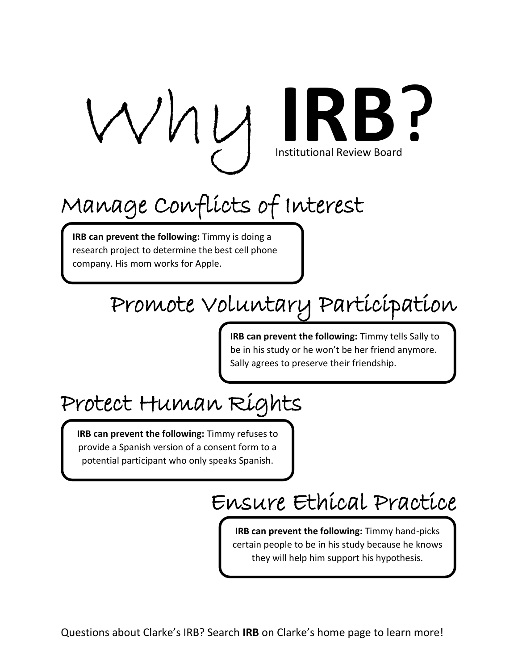

# Institutional Review Board

## Manage Conflicts of Interest

**IRB can prevent the following:** Timmy is doing a research project to determine the best cell phone company. His mom works for Apple.

#### Promote Voluntary Participation

**IRB can prevent the following:** Timmy tells Sally to be in his study or he won't be her friend anymore. Sally agrees to preserve their friendship.

### Protect Human Rights

**IRB can prevent the following:** Timmy refuses to provide a Spanish version of a consent form to a potential participant who only speaks Spanish.

#### Ensure Ethical Practice

**IRB can prevent the following:** Timmy hand-picks certain people to be in his study because he knows they will help him support his hypothesis.